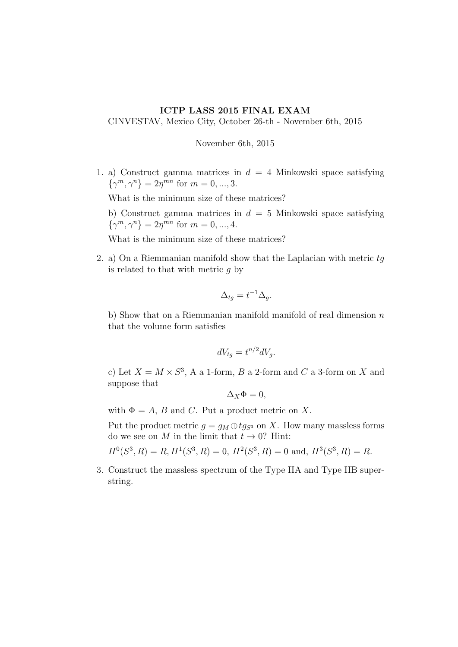## ICTP LASS 2015 FINAL EXAM

CINVESTAV, Mexico City, October 26-th - November 6th, 2015

November 6th, 2015

1. a) Construct gamma matrices in  $d = 4$  Minkowski space satisfying  $\{\gamma^m, \gamma^n\} = 2\eta^{mn}$  for  $m = 0, ..., 3$ .

What is the minimum size of these matrices?

b) Construct gamma matrices in  $d = 5$  Minkowski space satisfying  $\{\gamma^m, \gamma^n\} = 2\eta^{mn}$  for  $m = 0, ..., 4$ .

What is the minimum size of these matrices?

2. a) On a Riemmanian manifold show that the Laplacian with metric  $tq$ is related to that with metric  $q$  by

$$
\Delta_{tg} = t^{-1} \Delta_g.
$$

b) Show that on a Riemmanian manifold manifold of real dimension  $n$ that the volume form satisfies

$$
dV_{tg} = t^{n/2} dV_g.
$$

c) Let  $X = M \times S^3$ , A a 1-form, B a 2-form and C a 3-form on X and suppose that

$$
\Delta_X \Phi = 0,
$$

with  $\Phi = A$ , B and C. Put a product metric on X.

Put the product metric  $g = g_M \oplus tg_{S^3}$  on X. How many massless forms do we see on M in the limit that  $t \to 0$ ? Hint:

 $H^0(S^3, R) = R$ ,  $H^1(S^3, R) = 0$ ,  $H^2(S^3, R) = 0$  and,  $H^3(S^3, R) = R$ .

3. Construct the massless spectrum of the Type IIA and Type IIB superstring.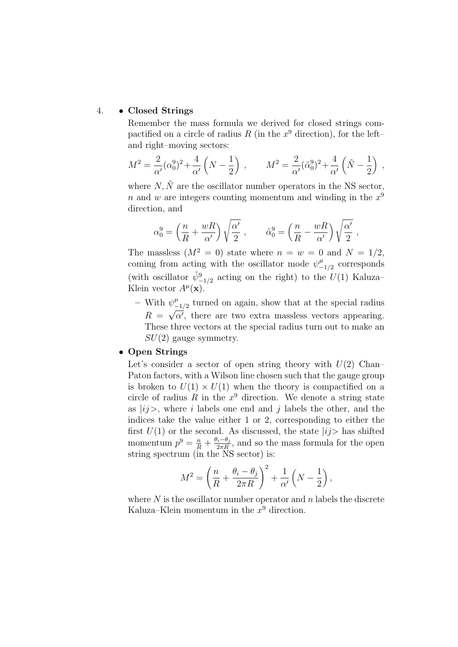## 4. • Closed Strings

Remember the mass formula we derived for closed strings compactified on a circle of radius R (in the  $x^9$  direction), for the leftand right–moving sectors:

$$
M^{2} = \frac{2}{\alpha'}(\alpha_{0}^{9})^{2} + \frac{4}{\alpha'}\left(N - \frac{1}{2}\right) , \qquad M^{2} = \frac{2}{\alpha'}(\tilde{\alpha}_{0}^{9})^{2} + \frac{4}{\alpha'}\left(\tilde{N} - \frac{1}{2}\right) ,
$$

where  $N, \tilde{N}$  are the oscillator number operators in the NS sector, n and w are integers counting momentum and winding in the  $x^9$ direction, and

$$
\alpha_0^9 = \left(\frac{n}{R} + \frac{wR}{\alpha'}\right)\sqrt{\frac{\alpha'}{2}}\ ,\qquad \tilde{\alpha}_0^9 = \left(\frac{n}{R} - \frac{wR}{\alpha'}\right)\sqrt{\frac{\alpha'}{2}}\ ,
$$

The massless  $(M^2 = 0)$  state where  $n = w = 0$  and  $N = 1/2$ , coming from acting with the oscillator mode  $\psi_{-}^{\mu}$  $\frac{\mu}{-1/2}$  corresponds (with oscillator  $\tilde{\psi}_{-1/2}^9$  acting on the right) to the  $U(1)$  Kaluza– Klein vector  $A^{\mu}(\mathbf{x})$ .

– With  $\psi_{-}^{\mu}$  $\psi_{-1/2}^{\mu}$  turned on again, show that at the special radius  $R = \sqrt{\alpha'}$ , there are two extra massless vectors appearing. These three vectors at the special radius turn out to make an  $SU(2)$  gauge symmetry.

## • Open Strings

Let's consider a sector of open string theory with  $U(2)$  Chan– Paton factors, with a Wilson line chosen such that the gauge group is broken to  $U(1) \times U(1)$  when the theory is compactified on a circle of radius  $R$  in the  $x^9$  direction. We denote a string state as  $|ij\rangle$ , where i labels one end and j labels the other, and the indices take the value either 1 or 2, corresponding to either the first  $U(1)$  or the second. As discussed, the state  $|ij\rangle$  has shifted momentum  $p^9 = \frac{n}{R} + \frac{\theta_i - \theta_j}{2\pi R}$ , and so the mass formula for the open string spectrum (in the NS sector) is:

$$
M^{2} = \left(\frac{n}{R} + \frac{\theta_{i} - \theta_{j}}{2\pi R}\right)^{2} + \frac{1}{\alpha'}\left(N - \frac{1}{2}\right),
$$

where  $N$  is the oscillator number operator and  $n$  labels the discrete Kaluza–Klein momentum in the  $x^9$  direction.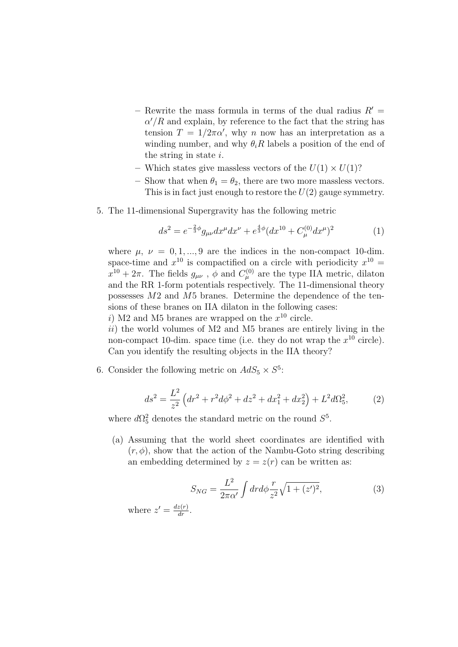- Rewrite the mass formula in terms of the dual radius  $R' =$  $\alpha'/R$  and explain, by reference to the fact that the string has tension  $T = 1/2\pi\alpha'$ , why n now has an interpretation as a winding number, and why  $\theta_iR$  labels a position of the end of the string in state i.
- Which states give massless vectors of the  $U(1) \times U(1)$ ?
- Show that when  $\theta_1 = \theta_2$ , there are two more massless vectors. This is in fact just enough to restore the  $U(2)$  gauge symmetry.
- 5. The 11-dimensional Supergravity has the following metric

$$
ds^{2} = e^{-\frac{2}{3}\phi}g_{\mu\nu}dx^{\mu}dx^{\nu} + e^{\frac{4}{3}\phi}(dx^{10} + C_{\mu}^{(0)}dx^{\mu})^{2}
$$
 (1)

where  $\mu$ ,  $\nu = 0, 1, ..., 9$  are the indices in the non-compact 10-dim. space-time and  $x^{10}$  is compactified on a circle with periodicity  $x^{10} =$  $x^{10} + 2\pi$ . The fields  $g_{\mu\nu}$ ,  $\phi$  and  $C^{(0)}_{\mu}$  are the type IIA metric, dilaton and the RR 1-form potentials respectively. The 11-dimensional theory possesses M2 and M5 branes. Determine the dependence of the tensions of these branes on IIA dilaton in the following cases:

i) M2 and M5 branes are wrapped on the  $x^{10}$  circle.

 $ii)$  the world volumes of M2 and M5 branes are entirely living in the non-compact 10-dim. space time (i.e. they do not wrap the  $x^{10}$  circle). Can you identify the resulting objects in the IIA theory?

6. Consider the following metric on  $AdS_5 \times S^5$ :

$$
ds^{2} = \frac{L^{2}}{z^{2}} \left( dr^{2} + r^{2} d\phi^{2} + dz^{2} + dx_{1}^{2} + dx_{2}^{2} \right) + L^{2} d\Omega_{5}^{2},
$$
 (2)

where  $d\Omega_5^2$  denotes the standard metric on the round  $S^5$ .

(a) Assuming that the world sheet coordinates are identified with  $(r, \phi)$ , show that the action of the Nambu-Goto string describing an embedding determined by  $z = z(r)$  can be written as:

$$
S_{NG} = \frac{L^2}{2\pi\alpha'} \int dr d\phi \frac{r}{z^2} \sqrt{1 + (z')^2},\tag{3}
$$

where  $z' = \frac{dz(r)}{dr}$ .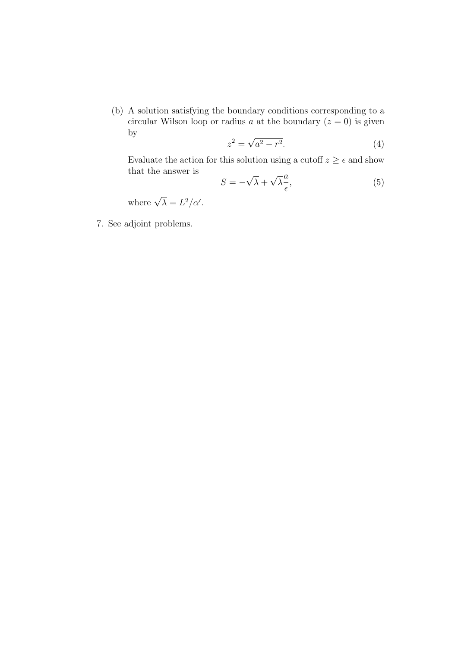(b) A solution satisfying the boundary conditions corresponding to a circular Wilson loop or radius a at the boundary  $(z = 0)$  is given by √

$$
z^2 = \sqrt{a^2 - r^2}.\tag{4}
$$

Evaluate the action for this solution using a cutoff  $z \geq \epsilon$  and show that the answer is √ √

$$
S = -\sqrt{\lambda} + \sqrt{\lambda} \frac{a}{\epsilon},\tag{5}
$$

where  $\sqrt{\lambda} = L^2/\alpha'$ .

7. See adjoint problems.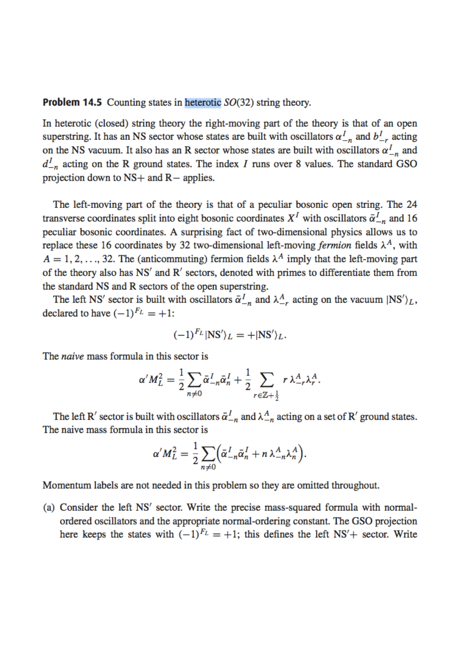**Problem 14.5** Counting states in heterotic  $SO(32)$  string theory.

In heterotic (closed) string theory the right-moving part of the theory is that of an open superstring. It has an NS sector whose states are built with oscillators  $\alpha_{-n}^{I}$  and  $b_{-r}^{I}$  acting on the NS vacuum. It also has an R sector whose states are built with oscillators  $\alpha_{-n}^{I}$  and  $d_{-n}^I$  acting on the R ground states. The index I runs over 8 values. The standard GSO projection down to  $NS+$  and  $R-$  applies.

The left-moving part of the theory is that of a peculiar bosonic open string. The 24 transverse coordinates split into eight bosonic coordinates  $X<sup>I</sup>$  with oscillators  $\bar{\alpha}_{-n}^{I}$  and 16 peculiar bosonic coordinates. A surprising fact of two-dimensional physics allows us to replace these 16 coordinates by 32 two-dimensional left-moving fermion fields  $\lambda^A$ , with  $A = 1, 2, ..., 32$ . The (anticommuting) fermion fields  $\lambda^A$  imply that the left-moving part of the theory also has NS' and R' sectors, denoted with primes to differentiate them from the standard NS and R sectors of the open superstring.

The left NS' sector is built with oscillators  $\bar{\alpha}_{-n}^I$  and  $\lambda_{-n}^A$  acting on the vacuum  $|NS'\rangle_L$ , declared to have  $(-1)^{F_L} = +1$ :

$$
(-1)^{F_L} |NS'\rangle_L = + |NS'\rangle_L.
$$

The *naive* mass formula in this sector is

$$
\alpha'M_L^2 = \frac{1}{2} \sum_{n \neq 0} \bar{\alpha}_{-n}^I \bar{\alpha}_n^I + \frac{1}{2} \sum_{r \in \mathbb{Z} + \frac{1}{2}} r \lambda_{-r}^A \lambda_r^A.
$$

The left R' sector is built with oscillators  $\bar{\alpha}_{-n}^{I}$  and  $\lambda_{-n}^{A}$  acting on a set of R' ground states. The naive mass formula in this sector is

$$
\alpha'M_L^2=\frac{1}{2}\sum_{n\neq 0}\Bigl(\bar{\alpha}_{-n}^I\bar{\alpha}_n^I+n\lambda_{-n}^A\lambda_n^A\Bigr).
$$

Momentum labels are not needed in this problem so they are omitted throughout.

(a) Consider the left NS' sector. Write the precise mass-squared formula with normalordered oscillators and the appropriate normal-ordering constant. The GSO projection here keeps the states with  $(-1)^{F_L} = +1$ ; this defines the left NS<sup>'</sup>+ sector. Write